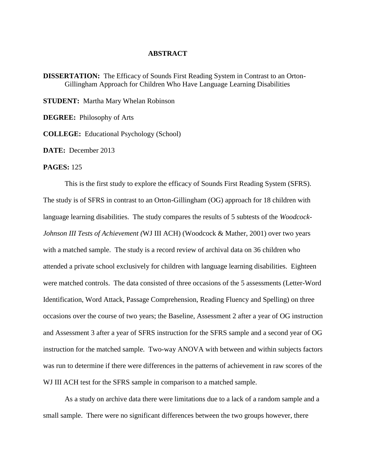## **ABSTRACT**

**DISSERTATION:** The Efficacy of Sounds First Reading System in Contrast to an Orton-Gillingham Approach for Children Who Have Language Learning Disabilities

**STUDENT:** Martha Mary Whelan Robinson

**DEGREE:** Philosophy of Arts

**COLLEGE:** Educational Psychology (School)

**DATE:** December 2013

## **PAGES:** 125

This is the first study to explore the efficacy of Sounds First Reading System (SFRS). The study is of SFRS in contrast to an Orton-Gillingham (OG) approach for 18 children with language learning disabilities. The study compares the results of 5 subtests of the *Woodcock-Johnson III Tests of Achievement (*WJ III ACH) (Woodcock & Mather, 2001) over two years with a matched sample. The study is a record review of archival data on 36 children who attended a private school exclusively for children with language learning disabilities. Eighteen were matched controls. The data consisted of three occasions of the 5 assessments (Letter-Word Identification, Word Attack, Passage Comprehension, Reading Fluency and Spelling) on three occasions over the course of two years; the Baseline, Assessment 2 after a year of OG instruction and Assessment 3 after a year of SFRS instruction for the SFRS sample and a second year of OG instruction for the matched sample. Two-way ANOVA with between and within subjects factors was run to determine if there were differences in the patterns of achievement in raw scores of the WJ III ACH test for the SFRS sample in comparison to a matched sample.

As a study on archive data there were limitations due to a lack of a random sample and a small sample. There were no significant differences between the two groups however, there